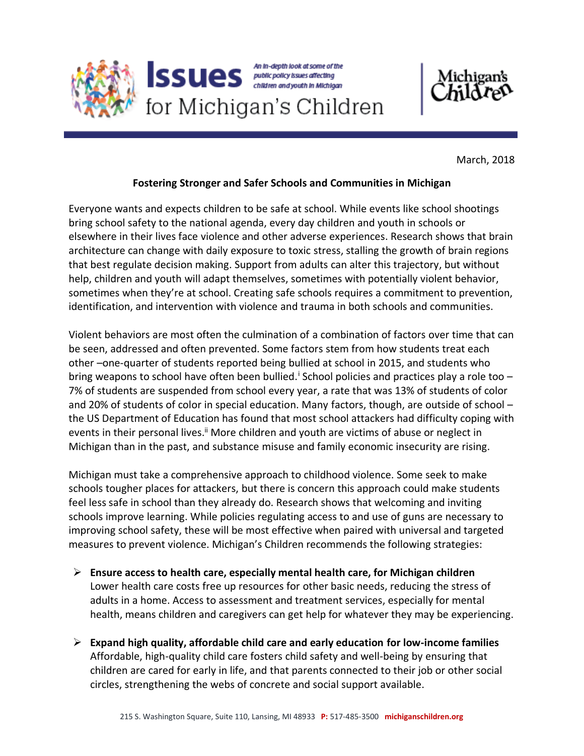



March, 2018

## **Fostering Stronger and Safer Schools and Communities in Michigan**

Everyone wants and expects children to be safe at school. While events like school shootings bring school safety to the national agenda, every day children and youth in schools or elsewhere in their lives face violence and other adverse experiences. Research shows that brain architecture can change with daily exposure to toxic stress, stalling the growth of brain regions that best regulate decision making. Support from adults can alter this trajectory, but without help, children and youth will adapt themselves, sometimes with potentially violent behavior, sometimes when they're at school. Creating safe schools requires a commitment to prevention, identification, and intervention with violence and trauma in both schools and communities.

Violent behaviors are most often the culmination of a combination of factors over time that can be seen, addressed and often prevented. Some factors stem from how students treat each other –one-quarter of students reported being bullied at school in 2015, and students who bring weapons to school have often been bullied.<sup>i</sup> School policies and practices play a role too -7% of students are suspended from school every year, a rate that was 13% of students of color and 20% of students of color in special education. Many factors, though, are outside of school – the US Department of Education has found that most school attackers had difficulty coping with events in their personal lives.<sup>ii</sup> More children and youth are victims of abuse or neglect in Michigan than in the past, and substance misuse and family economic insecurity are rising.

Michigan must take a comprehensive approach to childhood violence. Some seek to make schools tougher places for attackers, but there is concern this approach could make students feel less safe in school than they already do. Research shows that welcoming and inviting schools improve learning. While policies regulating access to and use of guns are necessary to improving school safety, these will be most effective when paired with universal and targeted measures to prevent violence. Michigan's Children recommends the following strategies:

- ➢ **Ensure access to health care, especially mental health care, for Michigan children** Lower health care costs free up resources for other basic needs, reducing the stress of adults in a home. Access to assessment and treatment services, especially for mental health, means children and caregivers can get help for whatever they may be experiencing.
- ➢ **Expand high quality, affordable child care and early education for low-income families** Affordable, high-quality child care fosters child safety and well-being by ensuring that children are cared for early in life, and that parents connected to their job or other social circles, strengthening the webs of concrete and social support available.